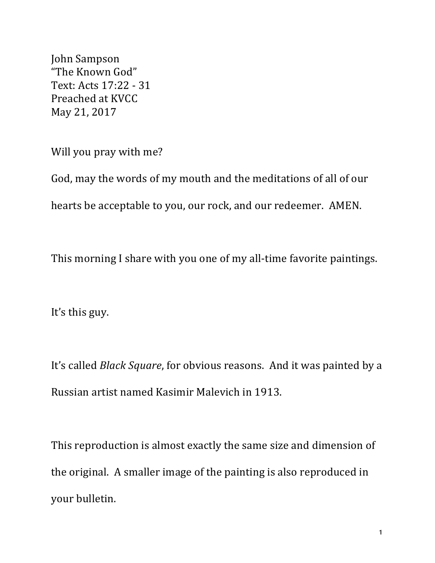John Sampson "The Known God" Text: Acts 17:22 - 31 Preached at KVCC May 21, 2017

Will you pray with me?

God, may the words of my mouth and the meditations of all of our hearts be acceptable to you, our rock, and our redeemer. AMEN.

This morning I share with you one of my all-time favorite paintings.

It's this guy.

It's called *Black Square*, for obvious reasons. And it was painted by a Russian artist named Kasimir Malevich in 1913.

This reproduction is almost exactly the same size and dimension of the original. A smaller image of the painting is also reproduced in your bulletin.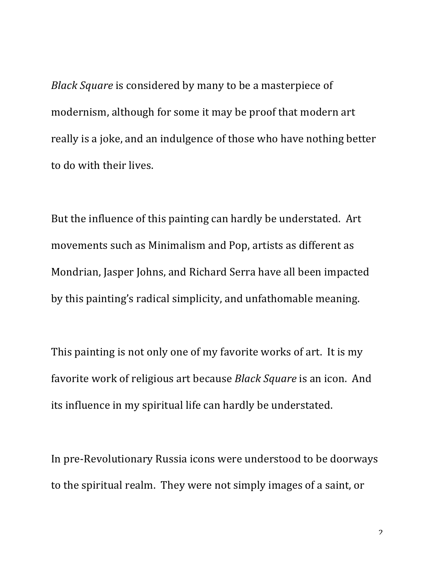*Black Square* is considered by many to be a masterpiece of modernism, although for some it may be proof that modern art really is a joke, and an indulgence of those who have nothing better to do with their lives.

But the influence of this painting can hardly be understated. Art movements such as Minimalism and Pop, artists as different as Mondrian, Jasper Johns, and Richard Serra have all been impacted by this painting's radical simplicity, and unfathomable meaning.

This painting is not only one of my favorite works of art. It is my favorite work of religious art because *Black Square* is an icon. And its influence in my spiritual life can hardly be understated.

In pre-Revolutionary Russia icons were understood to be doorways to the spiritual realm. They were not simply images of a saint, or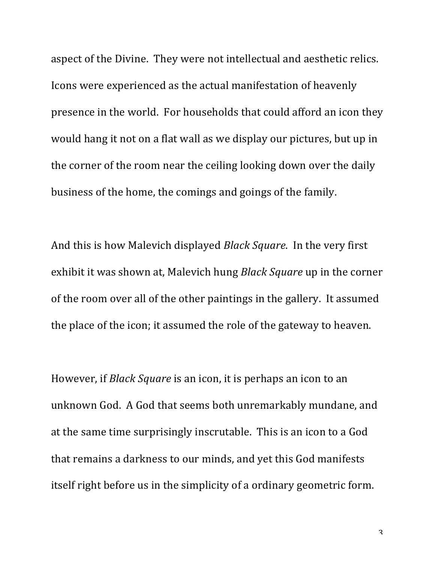aspect of the Divine. They were not intellectual and aesthetic relics. Icons were experienced as the actual manifestation of heavenly presence in the world. For households that could afford an icon they would hang it not on a flat wall as we display our pictures, but up in the corner of the room near the ceiling looking down over the daily business of the home, the comings and goings of the family.

And this is how Malevich displayed *Black Square*. In the very first exhibit it was shown at, Malevich hung *Black Square* up in the corner of the room over all of the other paintings in the gallery. It assumed the place of the icon; it assumed the role of the gateway to heaven.

However, if *Black Square* is an icon, it is perhaps an icon to an unknown God. A God that seems both unremarkably mundane, and at the same time surprisingly inscrutable. This is an icon to a God that remains a darkness to our minds, and yet this God manifests itself right before us in the simplicity of a ordinary geometric form.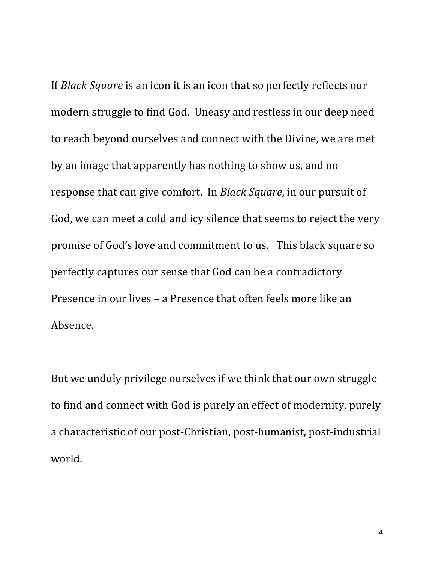If *Black Square* is an icon it is an icon that so perfectly reflects our modern struggle to find God. Uneasy and restless in our deep need to reach beyond ourselves and connect with the Divine, we are met by an image that apparently has nothing to show us, and no response that can give comfort. In *Black Square*, in our pursuit of God, we can meet a cold and icy silence that seems to reject the very promise of God's love and commitment to us. This black square so perfectly captures our sense that God can be a contradictory Presence in our lives - a Presence that often feels more like an Absence.

But we unduly privilege ourselves if we think that our own struggle to find and connect with God is purely an effect of modernity, purely a characteristic of our post-Christian, post-humanist, post-industrial world.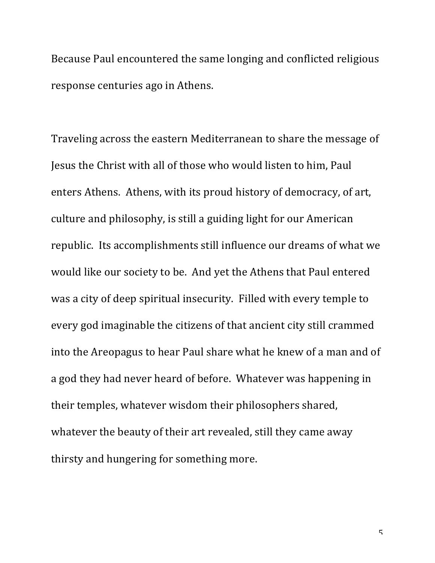Because Paul encountered the same longing and conflicted religious response centuries ago in Athens.

Traveling across the eastern Mediterranean to share the message of Jesus the Christ with all of those who would listen to him, Paul enters Athens. Athens, with its proud history of democracy, of art, culture and philosophy, is still a guiding light for our American republic. Its accomplishments still influence our dreams of what we would like our society to be. And yet the Athens that Paul entered was a city of deep spiritual insecurity. Filled with every temple to every god imaginable the citizens of that ancient city still crammed into the Areopagus to hear Paul share what he knew of a man and of a god they had never heard of before. Whatever was happening in their temples, whatever wisdom their philosophers shared, whatever the beauty of their art revealed, still they came away thirsty and hungering for something more.

 $\overline{\mathsf{c}}$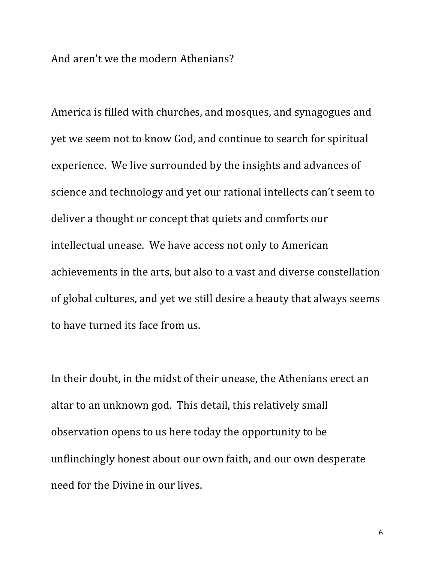And aren't we the modern Athenians?

America is filled with churches, and mosques, and synagogues and yet we seem not to know God, and continue to search for spiritual experience. We live surrounded by the insights and advances of science and technology and yet our rational intellects can't seem to deliver a thought or concept that quiets and comforts our intellectual unease. We have access not only to American achievements in the arts, but also to a vast and diverse constellation of global cultures, and yet we still desire a beauty that always seems to have turned its face from us.

In their doubt, in the midst of their unease, the Athenians erect an altar to an unknown god. This detail, this relatively small observation opens to us here today the opportunity to be unflinchingly honest about our own faith, and our own desperate need for the Divine in our lives.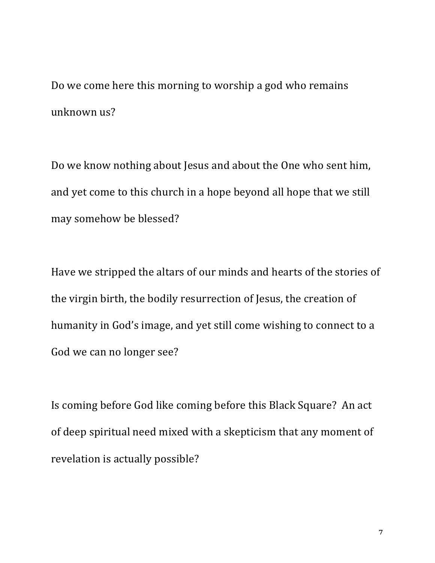Do we come here this morning to worship a god who remains unknown us?

Do we know nothing about Jesus and about the One who sent him, and yet come to this church in a hope beyond all hope that we still may somehow be blessed?

Have we stripped the altars of our minds and hearts of the stories of the virgin birth, the bodily resurrection of Jesus, the creation of humanity in God's image, and yet still come wishing to connect to a God we can no longer see?

Is coming before God like coming before this Black Square? An act of deep spiritual need mixed with a skepticism that any moment of revelation is actually possible?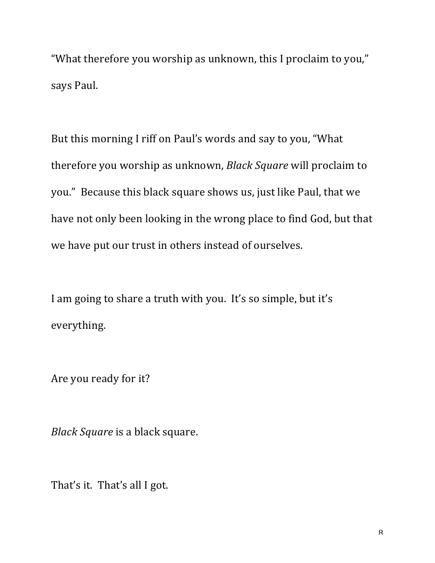"What therefore you worship as unknown, this I proclaim to you," says Paul.

But this morning I riff on Paul's words and say to you, "What therefore you worship as unknown, *Black Square* will proclaim to you." Because this black square shows us, just like Paul, that we have not only been looking in the wrong place to find God, but that we have put our trust in others instead of ourselves.

I am going to share a truth with you. It's so simple, but it's everything.

Are you ready for it?

*Black Square* is a black square.

That's it. That's all I got.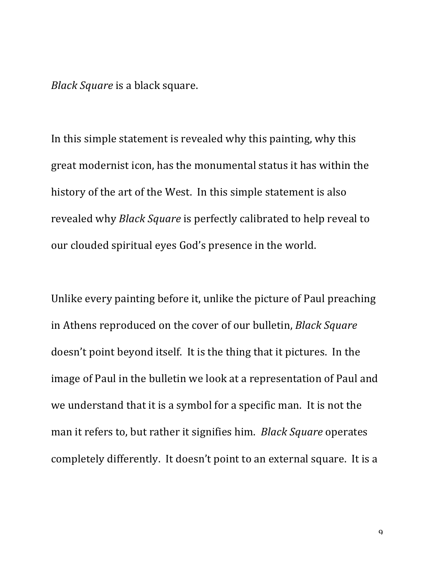*Black Square* is a black square.

In this simple statement is revealed why this painting, why this great modernist icon, has the monumental status it has within the history of the art of the West. In this simple statement is also revealed why *Black Square* is perfectly calibrated to help reveal to our clouded spiritual eyes God's presence in the world.

Unlike every painting before it, unlike the picture of Paul preaching in Athens reproduced on the cover of our bulletin, *Black Square* doesn't point beyond itself. It is the thing that it pictures. In the image of Paul in the bulletin we look at a representation of Paul and we understand that it is a symbol for a specific man. It is not the man it refers to, but rather it signifies him. *Black Square* operates completely differently. It doesn't point to an external square. It is a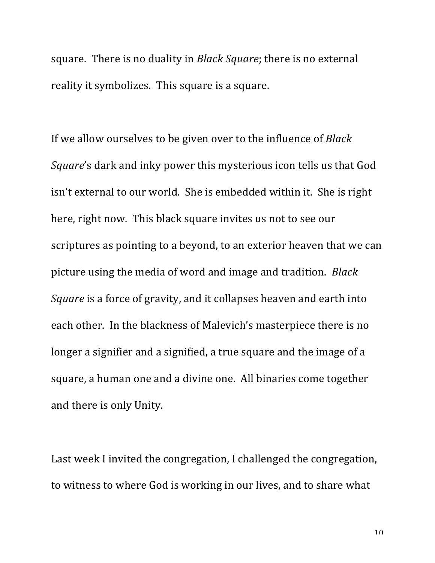square. There is no duality in *Black Square*; there is no external reality it symbolizes. This square is a square.

If we allow ourselves to be given over to the influence of *Black Square*'s dark and inky power this mysterious icon tells us that God isn't external to our world. She is embedded within it. She is right here, right now. This black square invites us not to see our scriptures as pointing to a beyond, to an exterior heaven that we can picture using the media of word and image and tradition. *Black Square* is a force of gravity, and it collapses heaven and earth into each other. In the blackness of Malevich's masterpiece there is no longer a signifier and a signified, a true square and the image of a square, a human one and a divine one. All binaries come together and there is only Unity.

Last week I invited the congregation, I challenged the congregation, to witness to where God is working in our lives, and to share what

 $1<sub>0</sub>$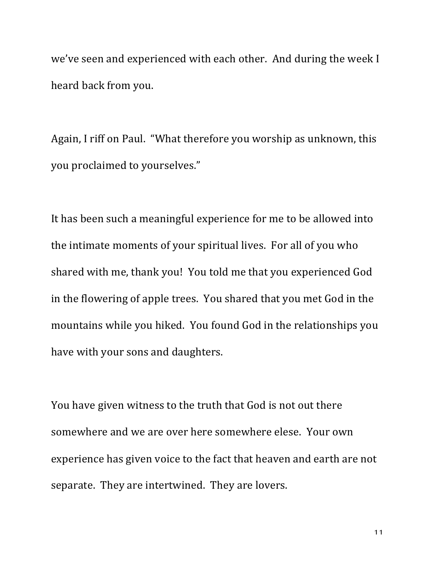we've seen and experienced with each other. And during the week I heard back from you.

Again, I riff on Paul. "What therefore you worship as unknown, this you proclaimed to yourselves."

It has been such a meaningful experience for me to be allowed into the intimate moments of your spiritual lives. For all of you who shared with me, thank you! You told me that you experienced God in the flowering of apple trees. You shared that you met God in the mountains while you hiked. You found God in the relationships you have with your sons and daughters.

You have given witness to the truth that God is not out there somewhere and we are over here somewhere elese. Your own experience has given voice to the fact that heaven and earth are not separate. They are intertwined. They are lovers.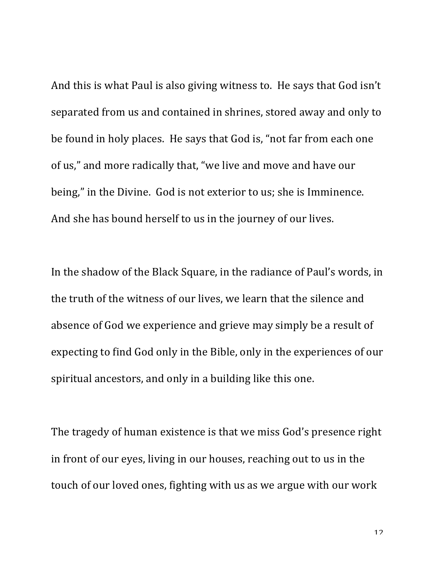And this is what Paul is also giving witness to. He says that God isn't separated from us and contained in shrines, stored away and only to be found in holy places. He says that God is, "not far from each one of us," and more radically that, "we live and move and have our being," in the Divine. God is not exterior to us; she is Imminence. And she has bound herself to us in the journey of our lives.

In the shadow of the Black Square, in the radiance of Paul's words, in the truth of the witness of our lives, we learn that the silence and absence of God we experience and grieve may simply be a result of expecting to find God only in the Bible, only in the experiences of our spiritual ancestors, and only in a building like this one.

The tragedy of human existence is that we miss God's presence right in front of our eyes, living in our houses, reaching out to us in the touch of our loved ones, fighting with us as we argue with our work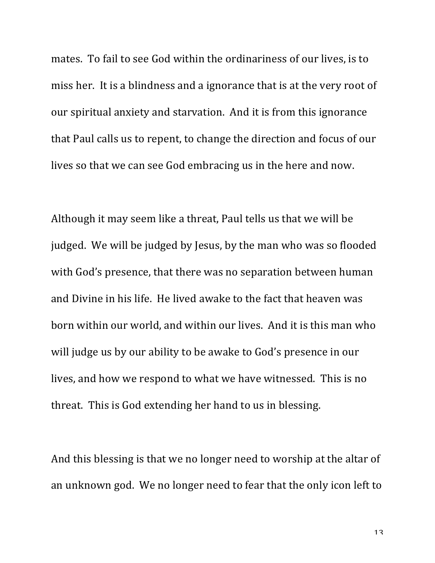mates. To fail to see God within the ordinariness of our lives, is to miss her. It is a blindness and a ignorance that is at the very root of our spiritual anxiety and starvation. And it is from this ignorance that Paul calls us to repent, to change the direction and focus of our lives so that we can see God embracing us in the here and now.

Although it may seem like a threat, Paul tells us that we will be judged. We will be judged by Jesus, by the man who was so flooded with God's presence, that there was no separation between human and Divine in his life. He lived awake to the fact that heaven was born within our world, and within our lives. And it is this man who will judge us by our ability to be awake to God's presence in our lives, and how we respond to what we have witnessed. This is no threat. This is God extending her hand to us in blessing.

And this blessing is that we no longer need to worship at the altar of an unknown god. We no longer need to fear that the only icon left to